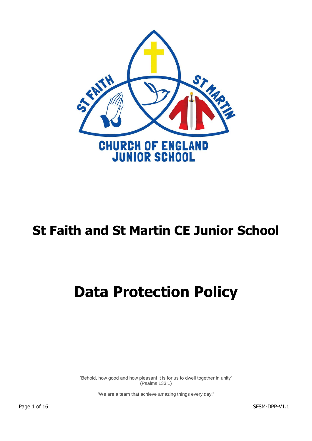

## **St Faith and St Martin CE Junior School**

# **Data Protection Policy**

'Behold, how good and how pleasant it is for us to dwell together in unity' (Psalms 133:1)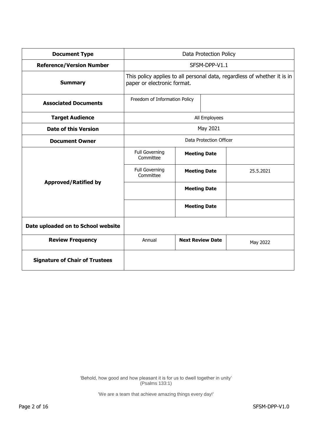| <b>Document Type</b>                  | Data Protection Policy                                                                                  |                     |                         |           |
|---------------------------------------|---------------------------------------------------------------------------------------------------------|---------------------|-------------------------|-----------|
| <b>Reference/Version Number</b>       | SFSM-DPP-V1.1                                                                                           |                     |                         |           |
| <b>Summary</b>                        | This policy applies to all personal data, regardless of whether it is in<br>paper or electronic format. |                     |                         |           |
| <b>Associated Documents</b>           | Freedom of Information Policy                                                                           |                     |                         |           |
| <b>Target Audience</b>                | All Employees                                                                                           |                     |                         |           |
| <b>Date of this Version</b>           | May 2021                                                                                                |                     |                         |           |
| <b>Document Owner</b>                 | Data Protection Officer                                                                                 |                     |                         |           |
| <b>Approved/Ratified by</b>           | Full Governing<br>Committee                                                                             | <b>Meeting Date</b> |                         |           |
|                                       | <b>Full Governing</b><br>Committee                                                                      | <b>Meeting Date</b> |                         | 25.5.2021 |
|                                       |                                                                                                         | <b>Meeting Date</b> |                         |           |
|                                       |                                                                                                         | <b>Meeting Date</b> |                         |           |
| Date uploaded on to School website    |                                                                                                         |                     |                         |           |
| <b>Review Frequency</b>               | Annual                                                                                                  |                     | <b>Next Review Date</b> | May 2022  |
| <b>Signature of Chair of Trustees</b> |                                                                                                         |                     |                         |           |

'Behold, how good and how pleasant it is for us to dwell together in unity' (Psalms 133:1)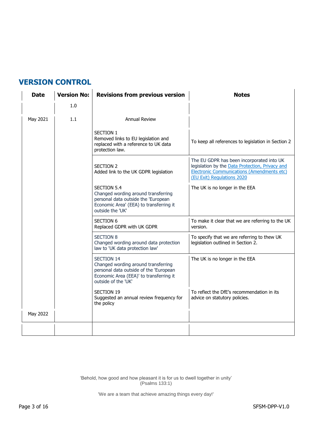## **VERSION CONTROL**

| <b>Date</b> | <b>Version No:</b> | <b>Revisions from previous version</b>                                                                                                                               | <b>Notes</b>                                                                                                                                                                    |
|-------------|--------------------|----------------------------------------------------------------------------------------------------------------------------------------------------------------------|---------------------------------------------------------------------------------------------------------------------------------------------------------------------------------|
|             | 1.0                |                                                                                                                                                                      |                                                                                                                                                                                 |
| May 2021    | 1.1                | <b>Annual Review</b>                                                                                                                                                 |                                                                                                                                                                                 |
|             |                    | <b>SECTION 1</b><br>Removed links to EU legislation and<br>replaced with a reference to UK data<br>protection law.                                                   | To keep all references to legislation in Section 2                                                                                                                              |
|             |                    | <b>SECTION 2</b><br>Added link to the UK GDPR legislation                                                                                                            | The EU GDPR has been incorporated into UK<br>legislation by the Data Protection, Privacy and<br><b>Electronic Communications (Amendments etc)</b><br>(EU Exit) Regulations 2020 |
|             |                    | <b>SECTION 5.4</b><br>Changed wording around transferring<br>personal data outside the 'European<br>Economic Area' (EEA) to transferring it<br>outside the 'UK'      | The UK is no longer in the EEA                                                                                                                                                  |
|             |                    | <b>SECTION 6</b><br>Replaced GDPR with UK GDPR                                                                                                                       | To make it clear that we are referring to the UK<br>version.                                                                                                                    |
|             |                    | <b>SECTION 8</b><br>Changed wording around data protection<br>law to 'UK data protection law'                                                                        | To specify that we are referring to thew UK<br>legislation outlined in Section 2.                                                                                               |
|             |                    | <b>SECTION 14</b><br>Changed wording around transferring<br>personal data outside of the 'European<br>Economic Area (EEA)' to transferring it<br>outside of the 'UK' | The UK is no longer in the EEA                                                                                                                                                  |
|             |                    | <b>SECTION 19</b><br>Suggested an annual review frequency for<br>the policy                                                                                          | To reflect the DfE's recommendation in its<br>advice on statutory policies.                                                                                                     |
| May 2022    |                    |                                                                                                                                                                      |                                                                                                                                                                                 |
|             |                    |                                                                                                                                                                      |                                                                                                                                                                                 |

'Behold, how good and how pleasant it is for us to dwell together in unity' (Psalms 133:1)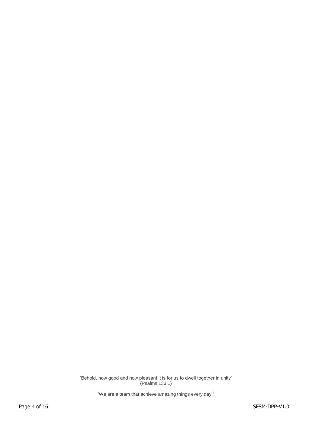'Behold, how good and how pleasant it is for us to dwell together in unity' (Psalms 133:1)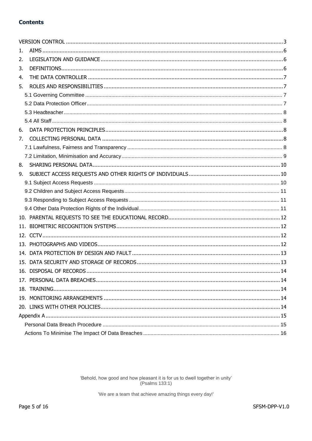#### **Contents**

| 1. |  |
|----|--|
| 2. |  |
| 3. |  |
| 4. |  |
| 5. |  |
|    |  |
|    |  |
|    |  |
|    |  |
| 6. |  |
| 7. |  |
|    |  |
|    |  |
| 8. |  |
| 9. |  |
|    |  |
|    |  |
|    |  |
|    |  |
|    |  |
|    |  |
|    |  |
|    |  |
|    |  |
|    |  |
|    |  |
|    |  |
|    |  |
|    |  |
|    |  |
|    |  |
|    |  |
|    |  |

'Behold, how good and how pleasant it is for us to dwell together in unity'<br>(Psalms 133:1)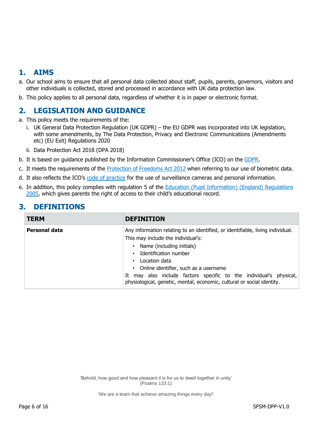## **1. AIMS**

- a. Our school aims to ensure that all personal data collected about staff, pupils, parents, governors, visitors and other individuals is collected, stored and processed in accordance with UK data protection law.
- b. This policy applies to all personal data, regardless of whether it is in paper or electronic format.

## **2. LEGISLATION AND GUIDANCE**

a. This policy meets the requirements of the:

- i. UK General Data Protection Regulation (UK GDPR) the EU GDPR was incorporated into UK legislation, with some amendments, by The Data Protection, Privacy and Electronic [Communications](https://www.legislation.gov.uk/uksi/2020/1586/made) (Amendments etc) (EU Exit) [Regulations](https://www.legislation.gov.uk/uksi/2020/1586/made) 2020
- ii. Data [Protection](http://www.legislation.gov.uk/ukpga/2018/12/contents/enacted) Act 2018 (DPA 2018)
- b. It is based on guidance published by the Information Commissioner's Office (ICO) on the [GDPR.](https://ico.org.uk/for-organisations/guide-to-the-general-data-protection-regulation-gdpr/)
- c. It meets the requirements of the [Protection](https://www.legislation.gov.uk/ukpga/2012/9/part/1/chapter/2) of Freedoms Act 2012 when referring to our use of biometric data.
- d. It also reflects the ICO's code of [practice](https://ico.org.uk/media/for-organisations/documents/1542/cctv-code-of-practice.pdf) for the use of surveillance cameras and personal information.
- e. In addition, this policy complies with regulation 5 of the **Education (Pupil [Information\)](http://www.legislation.gov.uk/uksi/2005/1437/regulation/5/made) (England) Regulations** [2005,](http://www.legislation.gov.uk/uksi/2005/1437/regulation/5/made) which gives parents the right of access to their child's educational record.

## **3. DEFINITIONS**

| <b>TERM</b>   | <b>DEFINITION</b>                                                                                                                                                                                                                                                                                                                                                                         |
|---------------|-------------------------------------------------------------------------------------------------------------------------------------------------------------------------------------------------------------------------------------------------------------------------------------------------------------------------------------------------------------------------------------------|
| Personal data | Any information relating to an identified, or identifiable, living individual.<br>This may include the individual's:<br>Name (including initials)<br>Identification number<br>Location data<br>• Online identifier, such as a username<br>may also include factors specific to the individual's physical,<br>It<br>physiological, genetic, mental, economic, cultural or social identity. |

'Behold, how good and how pleasant it is for us to dwell together in unity' (Psalms 133:1)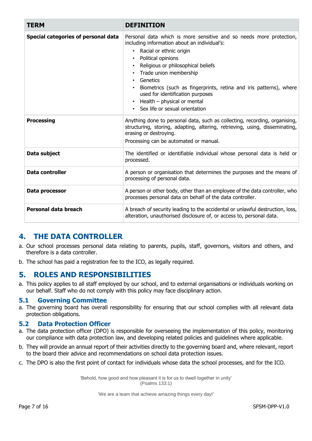| <b>TERM</b>                         | <b>DEFINITION</b>                                                                                                                                                                                                                                                                                                                                                                                                                                       |  |  |
|-------------------------------------|---------------------------------------------------------------------------------------------------------------------------------------------------------------------------------------------------------------------------------------------------------------------------------------------------------------------------------------------------------------------------------------------------------------------------------------------------------|--|--|
| Special categories of personal data | Personal data which is more sensitive and so needs more protection,<br>including information about an individual's:<br>Racial or ethnic origin<br>$\bullet$<br>Political opinions<br>Religious or philosophical beliefs<br>$\bullet$<br>Trade union membership<br>Genetics<br>Biometrics (such as fingerprints, retina and iris patterns), where<br>used for identification purposes<br>• Health - physical or mental<br>Sex life or sexual orientation |  |  |
| <b>Processing</b>                   | Anything done to personal data, such as collecting, recording, organising,<br>structuring, storing, adapting, altering, retrieving, using, disseminating,<br>erasing or destroying.<br>Processing can be automated or manual.                                                                                                                                                                                                                           |  |  |
| Data subject                        | The identified or identifiable individual whose personal data is held or<br>processed.                                                                                                                                                                                                                                                                                                                                                                  |  |  |
| Data controller                     | A person or organisation that determines the purposes and the means of<br>processing of personal data.                                                                                                                                                                                                                                                                                                                                                  |  |  |
| Data processor                      | A person or other body, other than an employee of the data controller, who<br>processes personal data on behalf of the data controller.                                                                                                                                                                                                                                                                                                                 |  |  |
| Personal data breach                | A breach of security leading to the accidental or unlawful destruction, loss,<br>alteration, unauthorised disclosure of, or access to, personal data.                                                                                                                                                                                                                                                                                                   |  |  |

## **4. THE DATA CONTROLLER**

- a. Our school processes personal data relating to parents, pupils, staff, governors, visitors and others, and therefore is a data controller.
- b. The school has paid a registration fee to the ICO, as legally required.

#### **5. ROLES AND RESPONSIBILITIES**

a. This policy applies to all staff employed by our school, and to external organisations or individuals working on our behalf. Staff who do not comply with this policy may face disciplinary action.

#### **5.1 Governing Committee**

a. The governing board has overall responsibility for ensuring that our school complies with all relevant data protection obligations.

#### **5.2 Data Protection Officer**

- a. The data protection officer (DPO) is responsible for overseeing the implementation of this policy, monitoring our compliance with data protection law, and developing related policies and guidelines where applicable.
- b. They will provide an annual report of their activities directly to the governing board and, where relevant, report to the board their advice and recommendations on school data protection issues.
- c. The DPO is also the first point of contact for individuals whose data the school processes, and for the ICO.

'Behold, how good and how pleasant it is for us to dwell together in unity' (Psalms 133:1)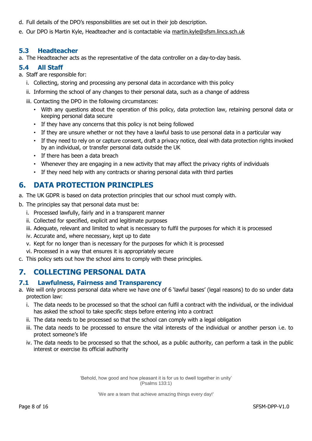- d. Full details of the DPO's responsibilities are set out in their job description.
- e. Our DPO is Martin Kyle, Headteacher and is contactable via [martin.kyle@sfsm.lincs.sch.uk](mailto:martin.kyle@sfsm.lincs.sch.uk)

#### **5.3 Headteacher**

a. The Headteacher acts as the representative of the data controller on a day-to-day basis.

#### **5.4 All Staff**

- a. Staff are responsible for:
	- i. Collecting, storing and processing any personal data in accordance with this policy
	- ii. Informing the school of any changes to their personal data, such as a change of address
	- iii. Contacting the DPO in the following circumstances:
		- With any questions about the operation of this policy, data protection law, retaining personal data or keeping personal data secure
		- If they have any concerns that this policy is not being followed
		- If they are unsure whether or not they have a lawful basis to use personal data in a particular way
		- If they need to rely on or capture consent, draft a privacy notice, deal with data protection rights invoked by an individual, or transfer personal data outside the UK
		- If there has been a data breach
		- Whenever they are engaging in a new activity that may affect the privacy rights of individuals
		- If they need help with any contracts or sharing personal data with third parties

## **6. DATA PROTECTION PRINCIPLES**

- a. The UK GDPR is based on data protection principles that our school must comply with.
- b. The principles say that personal data must be:
	- i. Processed lawfully, fairly and in a transparent manner
	- ii. Collected for specified, explicit and legitimate purposes
	- iii. Adequate, relevant and limited to what is necessary to fulfil the purposes for which it is processed
	- iv. Accurate and, where necessary, kept up to date
	- v. Kept for no longer than is necessary for the purposes for which it is processed
	- vi. Processed in a way that ensures it is appropriately secure
- c. This policy sets out how the school aims to comply with these principles.

## **7. COLLECTING PERSONAL DATA**

#### **7.1 Lawfulness, Fairness and Transparency**

- a. We will only process personal data where we have one of 6 'lawful bases' (legal reasons) to do so under data protection law:
	- i. The data needs to be processed so that the school can fulfil a contract with the individual, or the individual has asked the school to take specific steps before entering into a contract
	- ii. The data needs to be processed so that the school can comply with a legal obligation
	- iii. The data needs to be processed to ensure the vital interests of the individual or another person i.e. to protect someone's life
	- iv. The data needs to be processed so that the school, as a public authority, can perform a task in the public interest or exercise its official authority

'Behold, how good and how pleasant it is for us to dwell together in unity' (Psalms 133:1)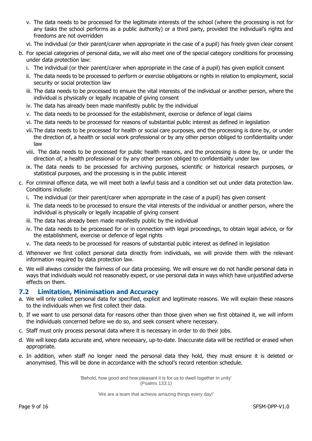- v. The data needs to be processed for the legitimate interests of the school (where the processing is not for any tasks the school performs as a public authority) or a third party, provided the individual's rights and freedoms are not overridden
- vi. The individual (or their parent/carer when appropriate in the case of a pupil) has freely given clear consent
- b. For special categories of personal data, we will also meet one of the special category conditions for processing under data protection law:
	- i. The individual (or their parent/carer when appropriate in the case of a pupil) has given explicit consent
	- ii. The data needs to be processed to perform or exercise obligations or rights in relation to employment, social security or social protection law
	- iii. The data needs to be processed to ensure the vital interests of the individual or another person, where the individual is physically or legally incapable of giving consent
	- iv. The data has already been made manifestly public by the individual
	- v. The data needs to be processed for the establishment, exercise or defence of legal claims
	- vi. The data needs to be processed for reasons of substantial public interest as defined in legislation
	- vii.The data needs to be processed for health or social care purposes, and the processing is done by, or under the direction of, a health or social work professional or by any other person obliged to confidentiality under law
	- viii. The data needs to be processed for public health reasons, and the processing is done by, or under the direction of, a health professional or by any other person obliged to confidentiality under law
	- ix. The data needs to be processed for archiving purposes, scientific or historical research purposes, or statistical purposes, and the processing is in the public interest
- c. For criminal offence data, we will meet both a lawful basis and a condition set out under data protection law. Conditions include:
	- i. The individual (or their parent/carer when appropriate in the case of a pupil) has given consent
	- ii. The data needs to be processed to ensure the vital interests of the individual or another person, where the individual is physically or legally incapable of giving consent
	- iii. The data has already been made manifestly public by the individual
	- iv. The data needs to be processed for or in connection with legal proceedings, to obtain legal advice, or for the establishment, exercise or defence of legal rights
	- v. The data needs to be processed for reasons of substantial public interest as defined in legislation
- d. Whenever we first collect personal data directly from individuals, we will provide them with the relevant information required by data protection law.
- e. We will always consider the fairness of our data processing. We will ensure we do not handle personal data in ways that individuals would not reasonably expect, or use personal data in ways which have unjustified adverse effects on them.

#### **7.2 Limitation, Minimisation and Accuracy**

- a. We will only collect personal data for specified, explicit and legitimate reasons. We will explain these reasons to the individuals when we first collect their data.
- b. If we want to use personal data for reasons other than those given when we first obtained it, we will inform the individuals concerned before we do so, and seek consent where necessary.
- c. Staff must only process personal data where it is necessary in order to do their jobs.
- d. We will keep data accurate and, where necessary, up-to-date. Inaccurate data will be rectified or erased when appropriate.
- e. In addition, when staff no longer need the personal data they hold, they must ensure it is deleted or anonymised. This will be done in accordance with the school's record retention schedule.

'Behold, how good and how pleasant it is for us to dwell together in unity' (Psalms 133:1)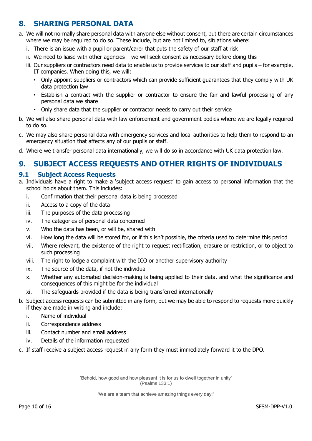## **8. SHARING PERSONAL DATA**

- a. We will not normally share personal data with anyone else without consent, but there are certain circumstances where we may be required to do so. These include, but are not limited to, situations where:
	- i. There is an issue with a pupil or parent/carer that puts the safety of our staff at risk
	- ii. We need to liaise with other agencies we will seek consent as necessary before doing this
	- iii. Our suppliers or contractors need data to enable us to provide services to our staff and pupils for example, IT companies. When doing this, we will:
		- Only appoint suppliers or contractors which can provide sufficient guarantees that they comply with UK data protection law
		- Establish a contract with the supplier or contractor to ensure the fair and lawful processing of any personal data we share
		- Only share data that the supplier or contractor needs to carry out their service
- b. We will also share personal data with law enforcement and government bodies where we are legally required to do so.
- c. We may also share personal data with emergency services and local authorities to help them to respond to an emergency situation that affects any of our pupils or staff.
- d. Where we transfer personal data internationally, we will do so in accordance with UK data protection law.

## **9. SUBJECT ACCESS REQUESTS AND OTHER RIGHTS OF INDIVIDUALS**

#### **9.1 Subject Access Requests**

- a. Individuals have a right to make a 'subject access request' to gain access to personal information that the school holds about them. This includes:
	- i. Confirmation that their personal data is being processed
	- ii. Access to a copy of the data
	- iii. The purposes of the data processing
	- iv. The categories of personal data concerned
	- v. Who the data has been, or will be, shared with
	- vi. How long the data will be stored for, or if this isn't possible, the criteria used to determine this period
	- vii. Where relevant, the existence of the right to request rectification, erasure or restriction, or to object to such processing
	- viii. The right to lodge a complaint with the ICO or another supervisory authority
	- ix. The source of the data, if not the individual
	- x. Whether any automated decision-making is being applied to their data, and what the significance and consequences of this might be for the individual
	- xi. The safeguards provided if the data is being transferred internationally
- b. Subject access requests can be submitted in any form, but we may be able to respond to requests more quickly if they are made in writing and include:
	- i. Name of individual
	- ii. Correspondence address
	- iii. Contact number and email address
	- iv. Details of the information requested
- c. If staff receive a subject access request in any form they must immediately forward it to the DPO.

'Behold, how good and how pleasant it is for us to dwell together in unity' (Psalms 133:1)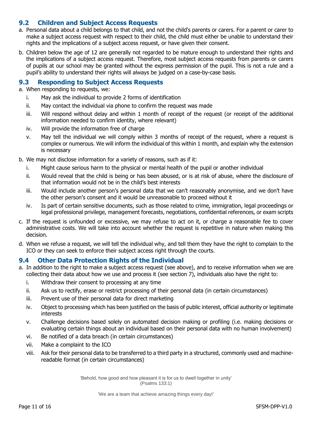#### **9.2 Children and Subject Access Requests**

- a. Personal data about a child belongs to that child, and not the child's parents or carers. For a parent or carer to make a subject access request with respect to their child, the child must either be unable to understand their rights and the implications of a subject access request, or have given their consent.
- b. Children below the age of 12 are generally not regarded to be mature enough to understand their rights and the implications of a subject access request. Therefore, most subject access requests from parents or carers of pupils at our school may be granted without the express permission of the pupil. This is not a rule and a pupil's ability to understand their rights will always be judged on a case-by-case basis.

#### **9.3 Responding to Subject Access Requests**

- a. When responding to requests, we:
	- i. May ask the individual to provide 2 forms of identification
	- ii. May contact the individual via phone to confirm the request was made
	- iii. Will respond without delay and within 1 month of receipt of the request (or receipt of the additional information needed to confirm identity, where relevant)
	- iv. Will provide the information free of charge
	- v. May tell the individual we will comply within 3 months of receipt of the request, where a request is complex or numerous. We will inform the individual of this within 1 month, and explain why the extension is necessary
- b. We may not disclose information for a variety of reasons, such as if it:
	- i. Might cause serious harm to the physical or mental health of the pupil or another individual
	- ii. Would reveal that the child is being or has been abused, or is at risk of abuse, where the disclosure of that information would not be in the child's best interests
	- iii. Would include another person's personal data that we can't reasonably anonymise, and we don't have the other person's consent and it would be unreasonable to proceed without it
	- iv. Is part of certain sensitive documents, such as those related to crime, immigration, legal proceedings or legal professional privilege, management forecasts, negotiations, confidential references, or exam scripts
- c. If the request is unfounded or excessive, we may refuse to act on it, or charge a reasonable fee to cover administrative costs. We will take into account whether the request is repetitive in nature when making this decision.
- d. When we refuse a request, we will tell the individual why, and tell them they have the right to complain to the ICO or they can seek to enforce their subject access right through the courts.

#### **9.4 Other Data Protection Rights of the Individual**

- a. In addition to the right to make a subject access request (see above), and to receive information when we are collecting their data about how we use and process it (see section 7), individuals also have the right to:
	- i. Withdraw their consent to processing at any time
	- ii. Ask us to rectify, erase or restrict processing of their personal data (in certain circumstances)
	- iii. Prevent use of their personal data for direct marketing
	- iv. Object to processing which has been justified on the basis of public interest, official authority or legitimate interests
	- v. Challenge decisions based solely on automated decision making or profiling (i.e. making decisions or evaluating certain things about an individual based on their personal data with no human involvement)
	- vi. Be notified of a data breach (in certain circumstances)
	- vii. Make a complaint to the ICO
	- viii. Ask for their personal data to be transferred to a third party in a structured, commonly used and machinereadable format (in certain circumstances)

'Behold, how good and how pleasant it is for us to dwell together in unity' (Psalms 133:1)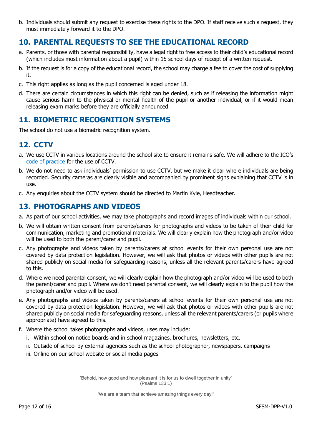b. Individuals should submit any request to exercise these rights to the DPO. If staff receive such a request, they must immediately forward it to the DPO.

## **10. PARENTAL REQUESTS TO SEE THE EDUCATIONAL RECORD**

- a. Parents, or those with parental responsibility, have a legal right to free access to their child's educational record (which includes most information about a pupil) within 15 school days of receipt of a written request.
- b. If the request is for a copy of the educational record, the school may charge a fee to cover the cost of supplying it.
- c. This right applies as long as the pupil concerned is aged under 18.
- d. There are certain circumstances in which this right can be denied, such as if releasing the information might cause serious harm to the physical or mental health of the pupil or another individual, or if it would mean releasing exam marks before they are officially announced.

## **11. BIOMETRIC RECOGNITION SYSTEMS**

The school do not use a biometric recognition system.

## **12. CCTV**

- a. We use CCTV in various locations around the school site to ensure it remains safe. We will adhere to the ICO's code of [practice](https://ico.org.uk/media/for-organisations/documents/1542/cctv-code-of-practice.pdf) for the use of CCTV.
- b. We do not need to ask individuals' permission to use CCTV, but we make it clear where individuals are being recorded. Security cameras are clearly visible and accompanied by prominent signs explaining that CCTV is in use.
- c. Any enquiries about the CCTV system should be directed to Martin Kyle, Headteacher.

## **13. PHOTOGRAPHS AND VIDEOS**

- a. As part of our school activities, we may take photographs and record images of individuals within our school.
- b. We will obtain written consent from parents/carers for photographs and videos to be taken of their child for communication, marketing and promotional materials. We will clearly explain how the photograph and/or video will be used to both the parent/carer and pupil.
- c. Any photographs and videos taken by parents/carers at school events for their own personal use are not covered by data protection legislation. However, we will ask that photos or videos with other pupils are not shared publicly on social media for safeguarding reasons, unless all the relevant parents/carers have agreed to this.
- d. Where we need parental consent, we will clearly explain how the photograph and/or video will be used to both the parent/carer and pupil. Where we don't need parental consent, we will clearly explain to the pupil how the photograph and/or video will be used.
- e. Any photographs and videos taken by parents/carers at school events for their own personal use are not covered by data protection legislation. However, we will ask that photos or videos with other pupils are not shared publicly on social media for safeguarding reasons, unless all the relevant parents/carers (or pupils where appropriate) have agreed to this.
- f. Where the school takes photographs and videos, uses may include:
	- i. Within school on notice boards and in school magazines, brochures, newsletters, etc.
	- ii. Outside of school by external agencies such as the school photographer, newspapers, campaigns
	- iii. Online on our school website or social media pages

'Behold, how good and how pleasant it is for us to dwell together in unity' (Psalms 133:1)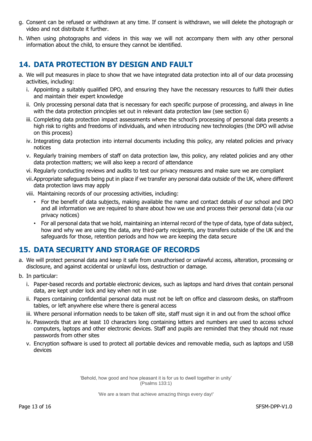- g. Consent can be refused or withdrawn at any time. If consent is withdrawn, we will delete the photograph or video and not distribute it further.
- h. When using photographs and videos in this way we will not accompany them with any other personal information about the child, to ensure they cannot be identified.

## **14. DATA PROTECTION BY DESIGN AND FAULT**

- a. We will put measures in place to show that we have integrated data protection into all of our data processing activities, including:
	- i. Appointing a suitably qualified DPO, and ensuring they have the necessary resources to fulfil their duties and maintain their expert knowledge
	- ii. Only processing personal data that is necessary for each specific purpose of processing, and always in line with the data protection principles set out in relevant data protection law (see section 6)
	- iii. Completing data protection impact assessments where the school's processing of personal data presents a high risk to rights and freedoms of individuals, and when introducing new technologies (the DPO will advise on this process)
	- iv. Integrating data protection into internal documents including this policy, any related policies and privacy notices
	- v. Regularly training members of staff on data protection law, this policy, any related policies and any other data protection matters; we will also keep a record of attendance
	- vi. Regularly conducting reviews and audits to test our privacy measures and make sure we are compliant
	- vii.Appropriate safeguards being put in place if we transfer any personal data outside of the UK, where different data protection laws may apply

viii. Maintaining records of our processing activities, including:

- For the benefit of data subjects, making available the name and contact details of our school and DPO and all information we are required to share about how we use and process their personal data (via our privacy notices)
- For all personal data that we hold, maintaining an internal record of the type of data, type of data subject, how and why we are using the data, any third-party recipients, any transfers outside of the UK and the safeguards for those, retention periods and how we are keeping the data secure

## **15. DATA SECURITY AND STORAGE OF RECORDS**

- a. We will protect personal data and keep it safe from unauthorised or unlawful access, alteration, processing or disclosure, and against accidental or unlawful loss, destruction or damage.
- b. In particular:
	- i. Paper-based records and portable electronic devices, such as laptops and hard drives that contain personal data, are kept under lock and key when not in use
	- ii. Papers containing confidential personal data must not be left on office and classroom desks, on staffroom tables, or left anywhere else where there is general access
	- iii. Where personal information needs to be taken off site, staff must sign it in and out from the school office
	- iv. Passwords that are at least 10 characters long containing letters and numbers are used to access school computers, laptops and other electronic devices. Staff and pupils are reminded that they should not reuse passwords from other sites
	- v. Encryption software is used to protect all portable devices and removable media, such as laptops and USB devices

'Behold, how good and how pleasant it is for us to dwell together in unity' (Psalms 133:1)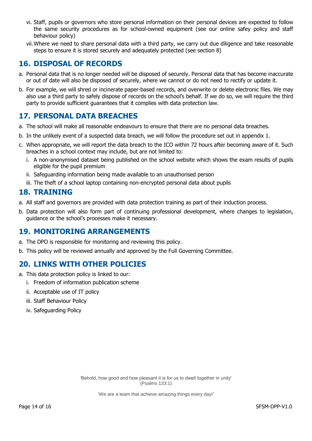- vi. Staff, pupils or governors who store personal information on their personal devices are expected to follow the same security procedures as for school-owned equipment (see our online safey policy and staff behaviour policy)
- vii.Where we need to share personal data with a third party, we carry out due diligence and take reasonable steps to ensure it is stored securely and adequately protected (see section 8)

## **16. DISPOSAL OF RECORDS**

- a. Personal data that is no longer needed will be disposed of securely. Personal data that has become inaccurate or out of date will also be disposed of securely, where we cannot or do not need to rectify or update it.
- b. For example, we will shred or incinerate paper-based records, and overwrite or delete electronic files. We may also use a third party to safely dispose of records on the school's behalf. If we do so, we will require the third party to provide sufficient guarantees that it complies with data protection law.

## **17. PERSONAL DATA BREACHES**

- a. The school will make all reasonable endeavours to ensure that there are no personal data breaches.
- b. In the unlikely event of a suspected data breach, we will follow the procedure set out in appendix 1.
- c. When appropriate, we will report the data breach to the ICO within 72 hours after becoming aware of it. Such breaches in a school context may include, but are not limited to:
	- i. A non-anonymised dataset being published on the school website which shows the exam results of pupils eligible for the pupil premium
	- ii. Safeguarding information being made available to an unauthorised person
	- iii. The theft of a school laptop containing non-encrypted personal data about pupils

#### **18. TRAINING**

- a. All staff and governors are provided with data protection training as part of their induction process.
- b. Data protection will also form part of continuing professional development, where changes to legislation, guidance or the school's processes make it necessary.

## **19. MONITORING ARRANGEMENTS**

- a. The DPO is responsible for monitoring and reviewing this policy.
- b. This policy will be reviewed annually and approved by the Full Governing Committee.

## **20. LINKS WITH OTHER POLICIES**

- a. This data protection policy is linked to our:
	- i. Freedom of information publication scheme
	- ii. Acceptable use of IT policy
	- iii. Staff Behaviour Policy
	- iv. Safeguarding Policy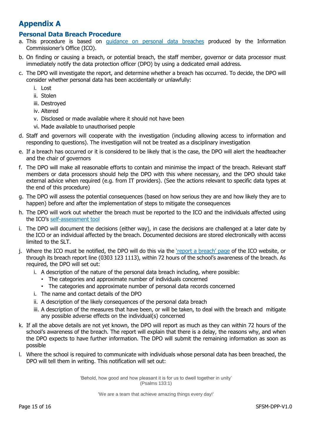## **Appendix A**

#### **Personal Data Breach Procedure**

- a. This procedure is based on [guidance](https://ico.org.uk/for-organisations/guide-to-the-general-data-protection-regulation-gdpr/personal-data-breaches/) on personal data breaches produced by the Information Commissioner's Office (ICO).
- b. On finding or causing a breach, or potential breach, the staff member, governor or data processor must immediately notify the data protection officer (DPO) by using a dedicated email address.
- c. The DPO will investigate the report, and determine whether a breach has occurred. To decide, the DPO will consider whether personal data has been accidentally or unlawfully:
	- i. Lost
	- ii. Stolen
	- iii. Destroyed
	- iv. Altered
	- v. Disclosed or made available where it should not have been
	- vi. Made available to unauthorised people
- d. Staff and governors will cooperate with the investigation (including allowing access to information and responding to questions). The investigation will not be treated as a disciplinary investigation
- e. If a breach has occurred or it is considered to be likely that is the case, the DPO will alert the headteacher and the chair of governors
- f. The DPO will make all reasonable efforts to contain and minimise the impact of the breach. Relevant staff members or data processors should help the DPO with this where necessary, and the DPO should take external advice when required (e.g. from IT providers). (See the actions relevant to specific data types at the end of this procedure)
- g. The DPO will assess the potential consequences (based on how serious they are and how likely they are to happen) before and after the implementation of steps to mitigate the consequences
- h. The DPO will work out whether the breach must be reported to the ICO and the individuals affected using the ICO's [self-assessment](https://ico.org.uk/for-organisations/report-a-breach/personal-data-breach-assessment/) tool
- i. The DPO will document the decisions (either way), in case the decisions are challenged at a later date by the ICO or an individual affected by the breach. Documented decisions are stored electronically with access limited to the SLT.
- j. Where the ICO must be notified, the DPO will do this via the 'report a [breach'](https://ico.org.uk/for-organisations/report-a-breach/) page of the ICO website, or through its breach report line (0303 123 1113), within 72 hours of the school's awareness of the breach. As required, the DPO will set out:
	- i. A description of the nature of the personal data breach including, where possible:
		- The categories and approximate number of individuals concerned
		- The categories and approximate number of personal data records concerned
	- i. The name and contact details of the DPO
	- ii. A description of the likely consequences of the personal data breach
	- iii. A description of the measures that have been, or will be taken, to deal with the breach and mitigate any possible adverse effects on the individual(s) concerned
- k. If all the above details are not yet known, the DPO will report as much as they can within 72 hours of the school's awareness of the breach. The report will explain that there is a delay, the reasons why, and when the DPO expects to have further information. The DPO will submit the remaining information as soon as possible
- l. Where the school is required to communicate with individuals whose personal data has been breached, the DPO will tell them in writing. This notification will set out:

'Behold, how good and how pleasant it is for us to dwell together in unity' (Psalms 133:1)